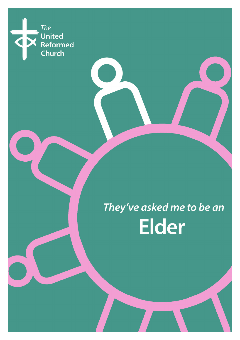

They've asked me to be an **Elder**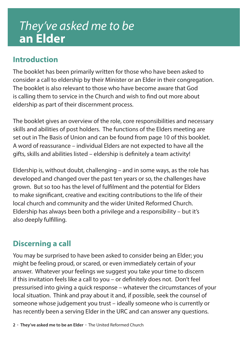## *They've asked me to be*  **an Elder**

## **Introduction**

The booklet has been primarily written for those who have been asked to consider a call to eldership by their Minister or an Elder in their congregation. The booklet is also relevant to those who have become aware that God is calling them to service in the Church and wish to find out more about eldership as part of their discernment process.

The booklet gives an overview of the role, core responsibilities and necessary skills and abilities of post holders. The functions of the Elders meeting are set out in The Basis of Union and can be found from page 10 of this booklet. A word of reassurance – individual Elders are not expected to have all the gifts, skills and abilities listed – eldership is definitely a team activity!

Eldership is, without doubt, challenging – and in some ways, as the role has developed and changed over the past ten years or so, the challenges have grown. But so too has the level of fulfilment and the potential for Elders to make significant, creative and exciting contributions to the life of their local church and community and the wider United Reformed Church. Eldership has always been both a privilege and a responsibility – but it's also deeply fulfilling.

## **Discerning a call**

You may be surprised to have been asked to consider being an Elder; you might be feeling proud, or scared, or even immediately certain of your answer. Whatever your feelings we suggest you take your time to discern if this invitation feels like a call to you – or definitely does not. Don't feel pressurised into giving a quick response – whatever the circumstances of your local situation. Think and pray about it and, if possible, seek the counsel of someone whose judgement you trust – ideally someone who is currently or has recently been a serving Elder in the URC and can answer any questions.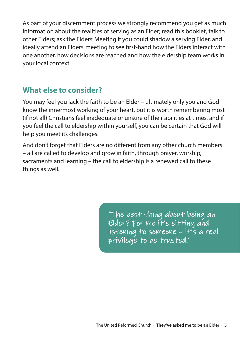As part of your discernment process we strongly recommend you get as much information about the realities of serving as an Elder; read this booklet, talk to other Elders; ask the Elders' Meeting if you could shadow a serving Elder, and ideally attend an Elders' meeting to see first-hand how the Elders interact with one another, how decisions are reached and how the eldership team works in your local context.

## **What else to consider?**

You may feel you lack the faith to be an Elder – ultimately only you and God know the innermost working of your heart, but it is worth remembering most (if not all) Christians feel inadequate or unsure of their abilities at times, and if you feel the call to eldership within yourself, you can be certain that God will help you meet its challenges.

And don't forget that Elders are no different from any other church members – all are called to develop and grow in faith, through prayer, worship, sacraments and learning – the call to eldership is a renewed call to these things as well.

> 'The best thing about being an Elder? For me it's sitting and listening to someone – it's a real privilege to be trusted.'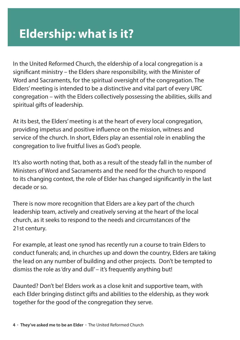# **Eldership: what is it?**

In the United Reformed Church, the eldership of a local congregation is a significant ministry – the Elders share responsibility, with the Minister of Word and Sacraments, for the spiritual oversight of the congregation. The Elders' meeting is intended to be a distinctive and vital part of every URC congregation – with the Elders collectively possessing the abilities, skills and spiritual gifts of leadership.

At its best, the Elders' meeting is at the heart of every local congregation, providing impetus and positive influence on the mission, witness and service of the church. In short, Elders play an essential role in enabling the congregation to live fruitful lives as God's people.

It's also worth noting that, both as a result of the steady fall in the number of Ministers of Word and Sacraments and the need for the church to respond to its changing context, the role of Elder has changed significantly in the last decade or so.

There is now more recognition that Elders are a key part of the church leadership team, actively and creatively serving at the heart of the local church, as it seeks to respond to the needs and circumstances of the 21st century.

For example, at least one synod has recently run a course to train Elders to conduct funerals; and, in churches up and down the country, Elders are taking the lead on any number of building and other projects. Don't be tempted to dismiss the role as 'dry and dull' – it's frequently anything but!

Daunted? Don't be! Elders work as a close knit and supportive team, with each Elder bringing distinct gifts and abilities to the eldership, as they work together for the good of the congregation they serve.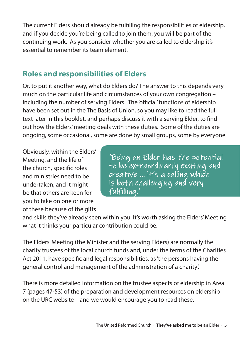The current Elders should already be fulfilling the responsibilities of eldership, and if you decide you're being called to join them, you will be part of the continuing work. As you consider whether you are called to eldership it's essential to remember its team element.

## **Roles and responsibilities of Elders**

Or, to put it another way, what do Elders do? The answer to this depends very much on the particular life and circumstances of your own congregation – including the number of serving Elders. The 'official' functions of eldership have been set out in the The Basis of Union, so you may like to read the full text later in this booklet, and perhaps discuss it with a serving Elder, to find out how the Elders' meeting deals with these duties. Some of the duties are ongoing, some occasional, some are done by small groups, some by everyone.

Obviously, within the Elders' Meeting, and the life of the church, specific roles and ministries need to be undertaken, and it might be that others are keen for you to take on one or more of these because of the gifts

'Being an Elder has the potential to be extraordinarily exciting and creative … it's a calling which is both challenging and very fulfilling.'

and skills they've already seen within you. It's worth asking the Elders' Meeting what it thinks your particular contribution could be.

The Elders' Meeting (the Minister and the serving Elders) are normally the charity trustees of the local church funds and, under the terms of the Charities Act 2011, have specific and legal responsibilities, as 'the persons having the general control and management of the administration of a charity'.

There is more detailed information on the trustee aspects of eldership in Area 7 (pages 47-53) of the preparation and development resources on eldership on the URC website – and we would encourage you to read these.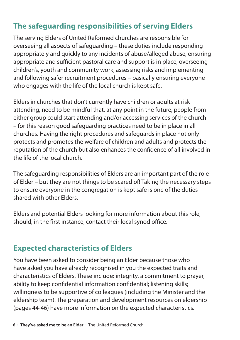## **The safeguarding responsibilities of serving Elders**

The serving Elders of United Reformed churches are responsible for overseeing all aspects of safeguarding – these duties include responding appropriately and quickly to any incidents of abuse/alleged abuse, ensuring appropriate and sufficient pastoral care and support is in place, overseeing children's, youth and community work, assessing risks and implementing and following safer recruitment procedures – basically ensuring everyone who engages with the life of the local church is kept safe.

Elders in churches that don't currently have children or adults at risk attending, need to be mindful that, at any point in the future, people from either group could start attending and/or accessing services of the church – for this reason good safeguarding practices need to be in place in all churches. Having the right procedures and safeguards in place not only protects and promotes the welfare of children and adults and protects the reputation of the church but also enhances the confidence of all involved in the life of the local church.

The safeguarding responsibilities of Elders are an important part of the role of Elder – but they are not things to be scared of! Taking the necessary steps to ensure everyone in the congregation is kept safe is one of the duties shared with other Elders.

Elders and potential Elders looking for more information about this role, should, in the first instance, contact their local synod office.

## **Expected characteristics of Elders**

You have been asked to consider being an Elder because those who have asked you have already recognised in you the expected traits and characteristics of Elders. These include: integrity, a commitment to prayer, ability to keep confidential information confidential; listening skills; willingness to be supportive of colleagues (including the Minister and the eldership team). The preparation and development resources on eldership (pages 44-46) have more information on the expected characteristics.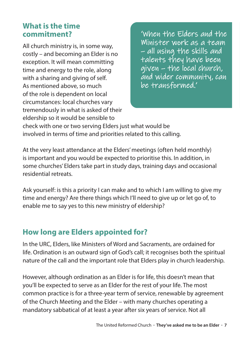#### **What is the time commitment?**

All church ministry is, in some way, costly – and becoming an Elder is no exception. It will mean committing time and energy to the role, along with a sharing and giving of self. As mentioned above, so much of the role is dependent on local circumstances: local churches vary tremendously in what is asked of their eldership so it would be sensible to

'When the Elders and the Minister work as a team – all using the skills and talents they have been given – the local church, and wider community, can be transformed.'

check with one or two serving Elders just what would be involved in terms of time and priorities related to this calling.

At the very least attendance at the Elders' meetings (often held monthly) is important and you would be expected to prioritise this. In addition, in some churches' Elders take part in study days, training days and occasional residential retreats.

Ask yourself: is this a priority I can make and to which I am willing to give my time and energy? Are there things which I'll need to give up or let go of, to enable me to say yes to this new ministry of eldership?

## **How long are Elders appointed for?**

In the URC, Elders, like Ministers of Word and Sacraments, are ordained for life. Ordination is an outward sign of God's call; it recognises both the spiritual nature of the call and the important role that Elders play in church leadership.

However, although ordination as an Elder is for life, this doesn't mean that you'll be expected to serve as an Elder for the rest of your life. The most common practice is for a three-year term of service, renewable by agreement of the Church Meeting and the Elder – with many churches operating a mandatory sabbatical of at least a year after six years of service. Not all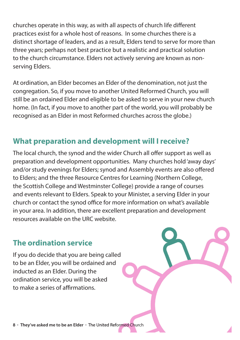churches operate in this way, as with all aspects of church life different practices exist for a whole host of reasons. In some churches there is a distinct shortage of leaders, and as a result, Elders tend to serve for more than three years; perhaps not best practice but a realistic and practical solution to the church circumstance. Elders not actively serving are known as nonserving Elders.

At ordination, an Elder becomes an Elder of the denomination, not just the congregation. So, if you move to another United Reformed Church, you will still be an ordained Elder and eligible to be asked to serve in your new church home. (In fact, if you move to another part of the world, you will probably be recognised as an Elder in most Reformed churches across the globe.)

## **What preparation and development will I receive?**

The local church, the synod and the wider Church all offer support as well as preparation and development opportunities. Many churches hold 'away days' and/or study evenings for Elders; synod and Assembly events are also offered to Elders; and the three Resource Centres for Learning (Northern College, the Scottish College and Westminster College) provide a range of courses and events relevant to Elders. Speak to your Minister, a serving Elder in your church or contact the synod office for more information on what's available in your area. In addition, there are excellent preparation and development resources available on the URC website.

## **The ordination service**

If you do decide that you are being called to be an Elder, you will be ordained and inducted as an Elder. During the ordination service, you will be asked to make a series of affirmations.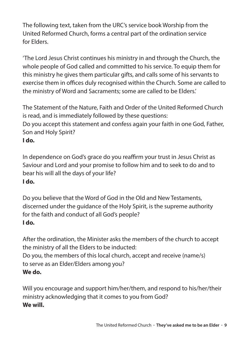The following text, taken from the URC's service book Worship from the United Reformed Church, forms a central part of the ordination service for Elders.

'The Lord Jesus Christ continues his ministry in and through the Church, the whole people of God called and committed to his service. To equip them for this ministry he gives them particular gifts, and calls some of his servants to exercise them in offices duly recognised within the Church. Some are called to the ministry of Word and Sacraments; some are called to be Elders.'

The Statement of the Nature, Faith and Order of the United Reformed Church is read, and is immediately followed by these questions:

Do you accept this statement and confess again your faith in one God, Father, Son and Holy Spirit?

#### **I do.**

In dependence on God's grace do you reaffirm your trust in Jesus Christ as Saviour and Lord and your promise to follow him and to seek to do and to bear his will all the days of your life? **I do.** 

Do you believe that the Word of God in the Old and New Testaments, discerned under the guidance of the Holy Spirit, is the supreme authority for the faith and conduct of all God's people? **I do.**

After the ordination, the Minister asks the members of the church to accept the ministry of all the Elders to be inducted: Do you, the members of this local church, accept and receive (name/s) to serve as an Elder/Elders among you? **We do.** 

Will you encourage and support him/her/them, and respond to his/her/their ministry acknowledging that it comes to you from God? **We will.**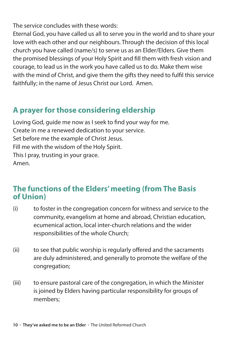The service concludes with these words:

Eternal God, you have called us all to serve you in the world and to share your love with each other and our neighbours. Through the decision of this local church you have called (name/s) to serve us as an Elder/Elders. Give them the promised blessings of your Holy Spirit and fill them with fresh vision and courage, to lead us in the work you have called us to do. Make them wise with the mind of Christ, and give them the gifts they need to fulfil this service faithfully; in the name of Jesus Christ our Lord. Amen.

## **A prayer for those considering eldership**

Loving God, guide me now as I seek to find your way for me. Create in me a renewed dedication to your service. Set before me the example of Christ Jesus. Fill me with the wisdom of the Holy Spirit. This I pray, trusting in your grace. Amen.

#### **The functions of the Elders' meeting (from The Basis of Union)**

- (i) to foster in the congregation concern for witness and service to the community, evangelism at home and abroad, Christian education, ecumenical action, local inter-church relations and the wider responsibilities of the whole Church;
- (ii) to see that public worship is regularly offered and the sacraments are duly administered, and generally to promote the welfare of the congregation;
- (iii) to ensure pastoral care of the congregation, in which the Minister is joined by Elders having particular responsibility for groups of members;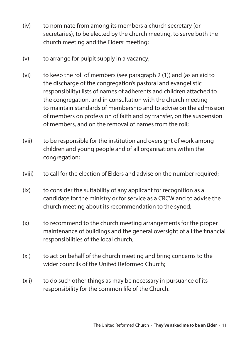- (iv) to nominate from among its members a church secretary (or secretaries), to be elected by the church meeting, to serve both the church meeting and the Elders' meeting;
- $(v)$  to arrange for pulpit supply in a vacancy;
- (vi) to keep the roll of members (see paragraph 2 (1)) and (as an aid to the discharge of the congregation's pastoral and evangelistic responsibility) lists of names of adherents and children attached to the congregation, and in consultation with the church meeting to maintain standards of membership and to advise on the admission of members on profession of faith and by transfer, on the suspension of members, and on the removal of names from the roll;
- (vii) to be responsible for the institution and oversight of work among children and young people and of all organisations within the congregation;
- (viii) to call for the election of Elders and advise on the number required;
- (ix) to consider the suitability of any applicant for recognition as a candidate for the ministry or for service as a CRCW and to advise the church meeting about its recommendation to the synod;
- (x) to recommend to the church meeting arrangements for the proper maintenance of buildings and the general oversight of all the financial responsibilities of the local church;
- (xi) to act on behalf of the church meeting and bring concerns to the wider councils of the United Reformed Church;
- (xii) to do such other things as may be necessary in pursuance of its responsibility for the common life of the Church.